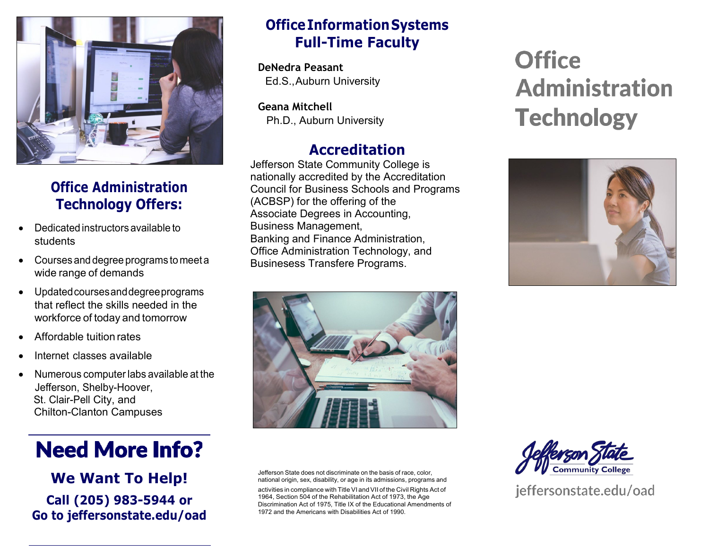

# **Office Administration Technology Offers:**

- Dedicated instructors available to students
- Coursesanddegree programs to meeta wide range of demands
- Updatedcoursesanddegreeprograms that reflect the skills needed in the workforce of today and tomorrow
- Affordable tuition rates
- Internet classes available
- Numerous computerlabs available at the Jefferson, Shelby-Hoover, St. Clair-Pell City, and Chilton-Clanton Campuses

# **Need More Info?**

**We Want To Help! Call (205) 983-5944 or Go to jeffersonstate.edu/oad**

### **OfficeInformationSystems Full-Time Faculty**

**DeNedra Peasant** Ed.S., Auburn University

**Geana Mitchell** Ph.D., Auburn University

## **Accreditation**

Jefferson State Community College is nationally accredited by the Accreditation Council for Business Schools and Programs (ACBSP) for the offering of the Associate Degrees in Accounting, Business Management, Banking and Finance Administration, Office Administration Technology, and Businesess Transfere Programs.



Jefferson State does not discriminate on the basis of race, color, national origin, sex, disability, or age in its admissions, programs and

activities in compliance with Title VI and VII of the Civil Rights Act of 1964, Section 504 of the Rehabilitation Act of 1973, the Age Discrimination Act of 1975, Title IX of the Educational Amendments of 1972 and the Americans with Disabilities Act of 1990.

# **Office Administration Technology**





jeffersonstate.edu/oad